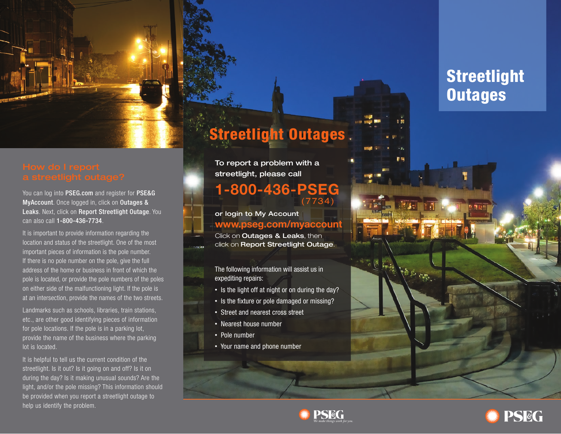

You can log into PSEG.com and register for PSE&G MyAccount. Once logged in, click on Outages & Leaks. Next, click on Report Streetlight Outage. You can also call 1-800-436-7734.

It is important to provide information regarding the location and status of the streetlight. One of the most important pieces of information is the pole number. If there is no pole number on the pole, give the full address of the home or business in front of which the pole is located, or provide the pole numbers of the poles on either side of the malfunctioning light. If the pole is at an intersection, provide the names of the two streets.

Landmarks such as schools, libraries, train stations, etc., are other good identifying pieces of information for pole locations. If the pole is in a parking lot, provide the name of the business where the parking lot is located.

It is helpful to tell us the current condition of the streetlight. Is it out? Is it going on and off? Is it on during the day? Is it making unusual sounds? Are the light, and/or the pole missing? This information should be provided when you report a streetlight outage to help us identify the problem.

# **Streetlight Outages.**

To report a problem with a streetlight, please call

## **1-800-436-PSEG** (7734)

or login to My Account **www.pseg.com/myaccount**

Click on **Outages & Leaks**, then click on Report Streetlight Outage.

The following information will assist us in expediting repairs:

- Is the light off at night or on during the day?
- Is the fixture or pole damaged or missing?
- Street and nearest cross street
- Nearest house number
- Pole number
- Your name and phone number

# **Streetlight Outages**

电隔